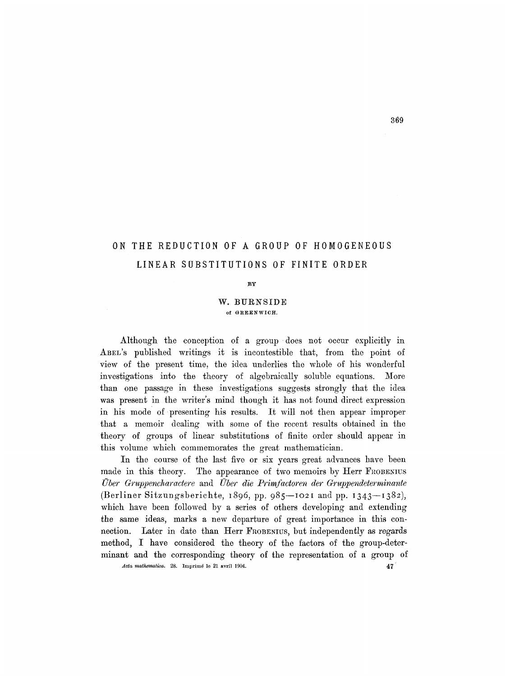# **ON THE REDUCTION OF h GROUP OF HOMOGENEOUS LINEAR SUBSTITUTIONS OF FINITE ORDER**

#### $\mathbf{B}\mathbf{Y}$

### **W. BURNSIDE**  of GREENWICH.

Although the conception of a group does not occur explicitly in ABEL'S published writings it is incontestible that, from the point of view of the present time, the idea underlies the whole of his wonderful investigations into the theory of algebraically soluble equations. More than one passage in these investigations suggests strongly that the idea was present in the writer's mind though it has not found direct expression in his mode of presenting his results. It will not then appear improper that a memoir dealing with some of the recent results obtained in the theory of groups of linear substitutions of finite order should appear in this volume which commemorates the great mathematician.

In the course of the last five or six years great advances have been made in this theory. The appearance of two memoirs by Herr FROBENIUS *Uber Gruppencharactere* and *Uber die Primfactoren der Gruppendeterminante*  (Berliner Sitzungsberichte, 1896, pp.  $985-1021$  and pp.  $1343-1382$ ), which have been followed by a series of others developing and extending the same ideas, marks a new departure of great importance in this connection. Later in date than Herr FROBENIUS, but independently as regards method, I have considered the theory of the factors of the group-determinant and the corresponding theory of the representation of a group of *Aeta mathematica.* 28. Imprimé le 21 avril 1904. 47

369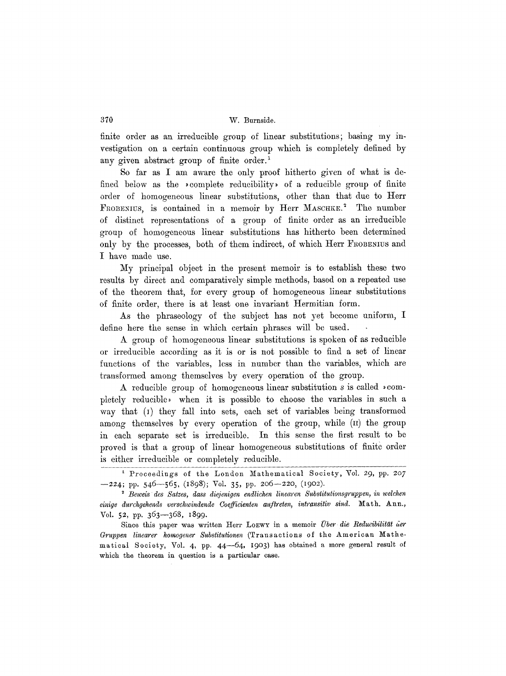finite order as an irreducible group of linear substitutions; basing my investigation on a certain continuous group which is completely defined by any given abstract group of finite order.<sup>1</sup>

So far as I am aware the only proof hitherto given of what is defined below as the  $\cdot$  complete reducibility, of a reducible group of finite order of homogeneous linear substitutions, other than that due to Herr FROBENIUS, is contained in a memoir by Herr MASCHKE.<sup>2</sup> The number of distinct representations of a group of finite order as an irreducible group of homogeneous linear substitutions has hitherto been determined only by the processes, both of them indirect, of which Herr FROBENIUS and I have made use.

My principal object in the present memoir is to establish these two results by direct and comparatively simple methods, based on a repeated use of the theorem that, for every group of homogeneous linear substitutions of finite order, there is at least one invariant Hermitian form.

As the phraseology of the subject has not yet become uniform, I define here the sense in which certain phrases will be used.

A group of homogeneous linear substitutions is spoken of as reducible or irreducible according as it is or is not possible to find a set of linear functions of the variables, less in number than the variables, which are transformed among themselves by every operation of the group.

A reducible group of homogeneous linear substitution  $s$  is called  $\ast$ completely reducible,) when it is possible to choose the variables in such a way that (I) they fall into sets, each set of variables being transformed among themselves by every operation of the group, while (II) the group in each separate set is irreducible. In this sense the first result to be proved is that a group of linear homogeneous substitutions of finite order is either irreducible or completely reducible.

Since this paper was written Herr LoEwY in a memoir *Über die Reducibilität der Gruppen linearer homogener Substitutionen* (Transactions of the American Mathematical Society, Vol. 4, pp. 44-64, 1903) has obtained a more general result of which the theorem in question is a particular case.

<sup>&</sup>lt;sup>1</sup> Proceedings of the London Mathematical Society, Vol. 29, pp. 207  $-224$ ; pp. 546-565, (1898); Vol. 35, pp. 206-220, (1902).

<sup>&</sup>lt;sup>2</sup> Beweis des Satzes, dass diejenigen endlichen linearen Substitutionsgruppen, in welchen *einige durchgehends verschwindende Coefficienten auftreten, intransitiv sind.* Math. Ann., Vol. 52, pp. 353--358, I899.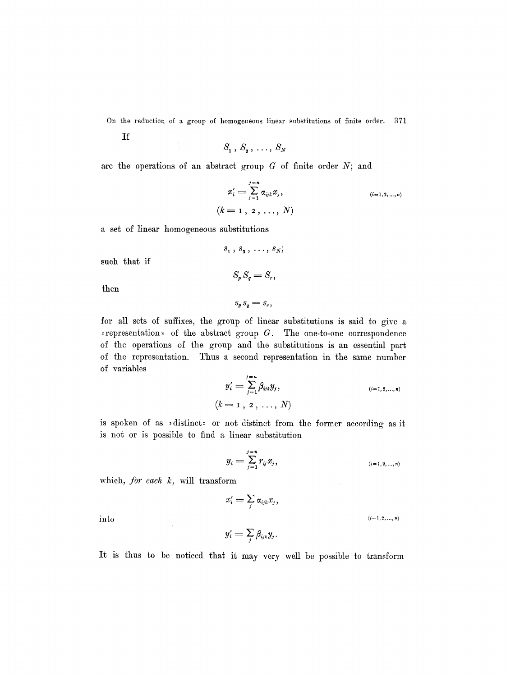If

$$
S_1, S_2, \ldots, S_N
$$

are the operations of an abstract group  $G$  of finite order  $N$ ; and

$$
x'_{i} = \sum_{j=1}^{j=n} \alpha_{ijk} x_{j},
$$
  
(k = 1, 2, ..., N) (i=1,2,...,n)

set of linear homogeneous substitutions

$$
s1, s2, \ldots, sN;
$$

such that if

$$
S_p S_q = S_r,
$$

then

 $S_p S_q = S_r,$ 

for all sets of suffixes, the group of linear substitutions is said to give a  $*$ representation  $*$  of the abstract group  $G$ . The one-to-one correspondence of the operations of the group and the substitutions is an essential part of the representation. Thus a second representation in the same number of variables

$$
y'_{i} = \sum_{j=1}^{j=n} \beta_{ijk} y_{j},
$$
  
(k = 1, 2, ..., N) (i=1,2,...,n)

is spoken of as »distinct» or not distinct from the former according as it is not or is possible to find a linear substitution

$$
y_i = \sum_{j=1}^{j=n} r_{ij} x_j, \qquad (i=1,2,...,n)
$$

which, *for each k,* will transform

$$
x_i'=\sum_j \alpha_{ijk}x_j,
$$

**into**  $(1=1,2,...,n)$ 

$$
y_i' = \sum_j \beta_{ijk} y_j.
$$

It is thus to be noticed that it may very well be possible to transform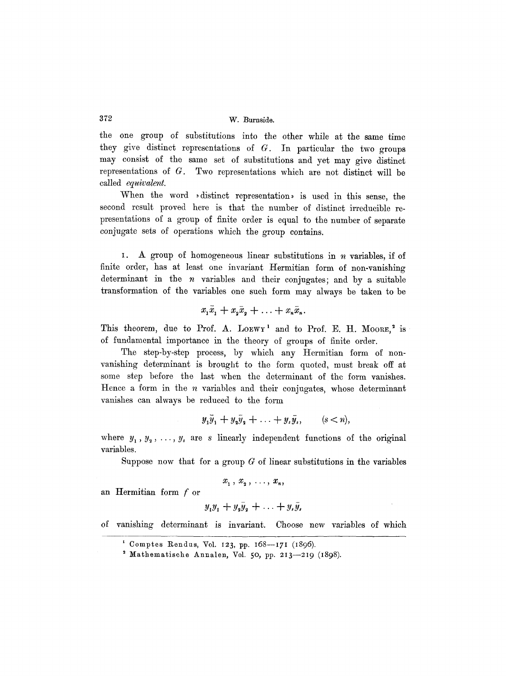the one group of substitutions into the other while at the same time they give distinct representations of  $G$ . In particular the two groups may consist of the same set of substitutions and yet may give distinct representations of  $G$ . Two representations which are not distinct will be called *equivalent.* 

When the word »distinct representation» is used in this sense, the second result proved here is that the number of distinct irreducible representations of a group of finite order is equal to the number of separate conjugate sets of operations which the group contains.

I. A group of homogeneous linear substitutions in  $n$  variables, if of finite order, has at least one invariant Hermitian form of non-vanishing determinant in the  $n$  variables and their conjugates; and by a suitable transformation of the variables one such form may always be taken to be

$$
x_1\overline{x}_1+x_2\overline{x}_2+\ldots+x_n\overline{x}_n.
$$

This theorem, due to Prof. A.  $L$ OEWY<sup>1</sup> and to Prof. E. H. MOORE,<sup>2</sup> is of fundamental importance in the theory of groups of finite order.

The step-by-step process, by which any Hermitian form of nonvanishing determinant is brought to the form quoted, must break off at some step before the last when the determinant of the form vanishes. Hence a form in the  $n$  variables and their conjugates, whose determinant vanishes can always be reduced to the form

$$
y_1\overline{y}_1+y_2\overline{y}_2+\ldots+y_s\overline{y}_s, \qquad (s
$$

where  $y_1, y_2, \ldots, y_s$  are s linearly independent functions of the original variables.

Suppose now that for a group  $G$  of linear substitutions in the variables

$$
x_1, x_2, \ldots, x_n,
$$

an Hermitian form f or

$$
y_1y_1+y_2\overline{y}_2+\ldots+y_s\overline{y}_s
$$

of vanishing determinant is invariant. Choose new variables of which

 $1$  Comptes Rendus, Vol. 123, pp. 168-171 (1896).

 $2$  Mathematische Annalen, Vol. 50, pp. 213-219 (1898).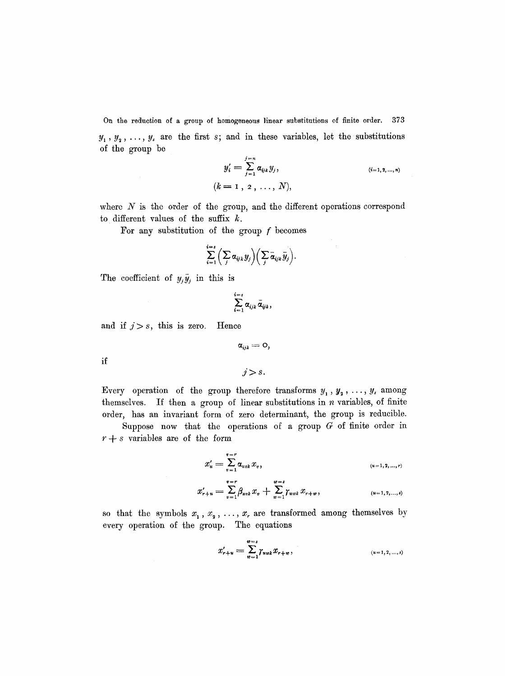On the reduction of a group of homogeneous linear substitutions of finite order. 373  $y_1, y_2, \ldots, y_s$  are the first s; and in these variables, let the substitutions of the group be

$$
y'_{i} = \sum_{j=1}^{j=n} \alpha_{ijk} y_{j},
$$
  
(k = 1, 2, ..., N), (i=1,2,...,n)

where  $N$  is the order of the group, and the different operations correspond to different values of the suffix  $k$ .

For any substitution of the group  $f$  becomes

$$
\sum_{i=1}^{i=s}\bigg(\sum_j\alpha_{ijk}y_j\bigg)\bigg(\sum_j\overline{\alpha}_{ijk}\overline{y}_j\bigg).
$$

The coefficient of  $y_j \tilde{y}_j$  in this is

$$
\sum_{i=1}^{i=s} \alpha_{ijk} \, \bar{\alpha}_{ijk},
$$

and if  $j > s$ , this is zero. Hence

 $\alpha_{ijk} = \circ$ ,

if

*j>s.* 

Every operation of the group therefore transforms  $y_1, y_2, \ldots, y_s$  among themselves. If then a group of linear substitutions in  $n$  variables, of finite order, has an invariant form of zero determinant, the group is reducible.

Suppose now that the operations of a group  $G$  of finite order in  $r+s$  variables are of the form

$$
x'_{u} = \sum_{v=1}^{v=r} \alpha_{uvk} x_{v},
$$
  
\n
$$
y=r
$$

$$
x'_{r+u} = \sum_{v=1}^{r-1} \beta_{uvk} x_v + \sum_{w=1}^{u-1} \gamma_{uvk} x_{r+w}, \qquad (u=1,2,...,s)
$$

so that the symbols  $x_1, x_2, \ldots, x_r$  are transformed among themselves by every operation of the group. The equations

$$
x'_{r+u} = \sum_{w=1}^{w=s} \gamma_{uwk} x_{r+w}, \qquad (u=1,2,...,s)
$$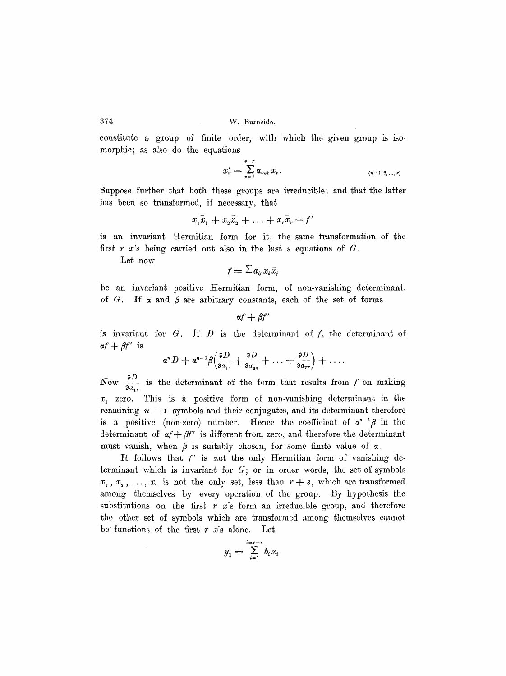constitute a group of finite order, with which the given group is isomorphic; as also do the equations

$$
x'_{u} = \sum_{v=1}^{v=r} \alpha_{uvk} x_{v}.
$$
 (u=1,2,...,r)

Suppose further that both these groups are irreducible; and that the latter has been so transformed, if necessary, that

$$
x_1\overline{x}_1+x_2\overline{x}_2+\ldots+x_r\overline{x}_r=f'
$$

is an invariant IIermitian form for it; the same transformation of the first r x's being carried out also in the last s equations of  $G$ .

Let now

$$
f = \sum a_{ij} x_i \bar{x}_j
$$

be an invariant positive Hermitian form, of non-vanishing determinant, of  $G$ . If  $\alpha$  and  $\beta$  are arbitrary constants, each of the set of forms

 $\alpha f + \beta f'$ 

is invariant for  $G$ . If  $D$  is the determinant of  $f$ , the determinant of  $af + \beta f'$  is

$$
\alpha^n D + \alpha^{n-1} \beta \Big( \frac{\partial D}{\partial a_{11}} + \frac{\partial D}{\partial a_{22}} + \ldots + \frac{\partial D}{\partial a_{rr}} \Big) + \ldots
$$

Now  $\frac{\partial D}{\partial a_{11}}$  is the determinant of the form that results from f on making  $x<sub>1</sub>$  zero. This is a positive form of non-vanishing determinant in the remaining  $n-1$  symbols and their conjugates, and its determinant therefore is a positive (non-zero) number. Hence the coefficient of  $a^{n-1}\beta$  in the determinant of  $af + \beta f'$  is different from zero, and therefore the determinant must vanish, when  $\beta$  is suitably chosen, for some finite value of  $\alpha$ .

It follows that  $f'$  is not the only Hermitian form of vanishing determinant which is invariant for  $G$ ; or in order words, the set of symbols  $x_1, x_2, \ldots, x_r$  is not the only set, less than  $r + s$ , which are transformed among themselves by every operation of the group. By hypothesis the substitutions on the first  $r \, x$ 's form an irreducible group, and therefore the other set of symbols which are transformed among themselves cannot be functions of the first  $r \dot{x}$  alone. Let

$$
y_1 = \sum_{i=1}^{i=r+s} b_i x_i
$$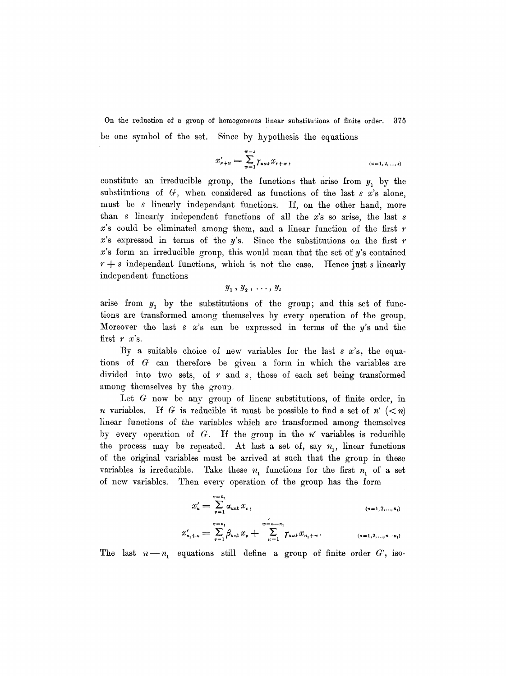On the reduction of a group of homogeneous linear substitutions of finite order. 375 be one symbol of the set. Since by hypothesis the equations

$$
x'_{r+u} = \sum_{w=1}^{w=s} \gamma_{uwk} x_{r+w}, \qquad (u=1,2,...,s)
$$

constitute an irreducible group, the functions that arise from  $y_1$  by the substitutions of  $G$ , when considered as functions of the last  $s$   $x$ 's alone, must be s linearly independant functions. If, on the other hand, more than s linearly independent functions of all the x's so arise, the last s  $x$ 's could be eliminated among them, and a linear function of the first  $r$  $x$ 's expressed in terms of the  $y$ 's. Since the substitutions on the first  $r$  $x$ 's form an irreducible group, this would mean that the set of  $y$ 's contained  $r + s$  independent functions, which is not the case. Hence just s linearly independent functions

$$
y_1, y_2, \ldots, y_s
$$

arise from  $y_1$  by the substitutions of the group; and this set of functions are transformed among themselves by every operation of the group. Moreover the last s  $x$ 's can be expressed in terms of the  $y$ 's and the first  $r \, x$ 's.

By a suitable choice of new variables for the last  $s$   $x$ 's, the equations of G can therefore be given a form in which the variables are divided into two sets, of  $r$  and  $s$ , those of each set being transformed among themselves by the group.

Let G now be any group of linear substitutions, of finite order, in *n* variables. If G is reducible it must be possible to find a set of  $n'$   $(< n)$ linear functions of the variables which are transformed among themselves by every operation of  $G$ . If the group in the  $n'$  variables is reducible the process may be repeated. At last a set of, say  $n_1$ , linear functions of the original variables must be arrived at such that the group in these variables is irreducible. Take these  $n_1$  functions for the first  $n_1$  of a set of new variables. Then every operation of the group has the form

$$
x'_{u} = \sum_{v=1}^{v=n_{1}} \alpha_{uvk} x_{v}, \qquad (u=1,2,...,n_{1})
$$
  

$$
x'_{n_{1}+u} = \sum_{v=1}^{v=n_{1}} \beta_{uvk} x_{v} + \sum_{w=1}^{w=n_{1}-n_{1}} \gamma_{uwk} x_{n_{1}+w}. \qquad (u=1,2,...,n_{1})
$$

The last  $n-n_1$  equations still define a group of finite order  $G'$ , iso-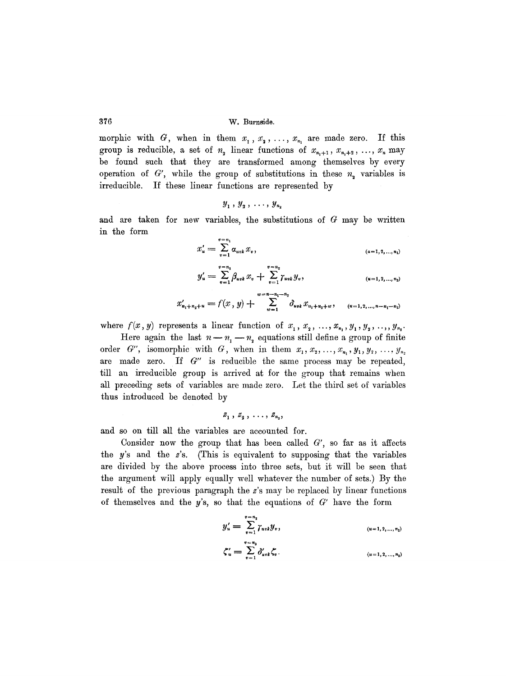morphic with G, when in them  $x_1, x_2, \ldots, x_{n_1}$  are made zero. If this group is reducible, a set of  $n_2$  linear functions of  $x_{n_1+1}, x_{n_1+2}, \ldots, x_n$  may be found such that they are transformed among themselves by every operation of G', while the group of substitutions in these  $n<sub>2</sub>$  variables is irreducible. If these linear functions are represented by

$$
y_1, y_2, \ldots, y_{n_2}
$$

and are taken for new variables, the substitutions of  $G$  may be written in the form

$$
x'_{u} = \sum_{v=1}^{v=n_1} \alpha_{uvk} x_{v},
$$
  
\n
$$
y'_{u} = \sum_{v=1}^{v=n_1} \beta_{uvk} x_{v} + \sum_{v=1}^{v=n_2} \gamma_{uvk} y_{v},
$$
  
\n
$$
(u=1,2,...,n_1)
$$
  
\n
$$
(u=1,2,...,n_2)
$$

$$
x'_{n_1+n_2+u} = f(x, y) + \sum_{w=1}^{w=n-n_1-n_2} \delta_{uvk} x_{u_1+u_2+w}, \qquad (u=1, 2, ..., n-n_1-n_2)
$$

where  $f(x, y)$  represents a linear function of  $x_1, x_2, ..., x_{n_1}, y_1, y_2, ..., y_{n_2}$ .

Here again the last  $n - n_1 - n_2$  equations still define a group of finite order G", isomorphic with G, when in them  $x_1, x_2, \ldots, x_{n_1}, y_1, y_2, \ldots, y_{n_2}$ are made zero. If G" is reducible the same process may be repeated, till an irreducible group is arrived at for the group that remains when all preceding sets of variables are made zero. Let the third set of variables thus introduced be denoted by

$$
z_1, z_2, \ldots, z_{n_3},
$$

and so on till all the variables are accounted for.

Consider now the group that has been called  $G'$ , so far as it affects the  $y$ 's and the  $z$ 's. (This is equivalent to supposing that the variables are divided by the above process into three sets, but it will be seen that the argument will apply equally well whatever the number of sets.) By the result of the previous paragraph the z's may be replaced by linear functions of themselves and the  $y$ 's, so that the equations of  $G'$  have the form

$$
y'_{u} = \sum_{v=1}^{v=n_2} \gamma_{uvk} y_{v},
$$
  
\n
$$
\zeta'_{u} = \sum_{v=1}^{v=n_3} \delta'_{uvk} \zeta_{v}.
$$
  
\n
$$
(u=1,2,...,n_3)
$$
  
\n
$$
(u=1,2,...,n_3)
$$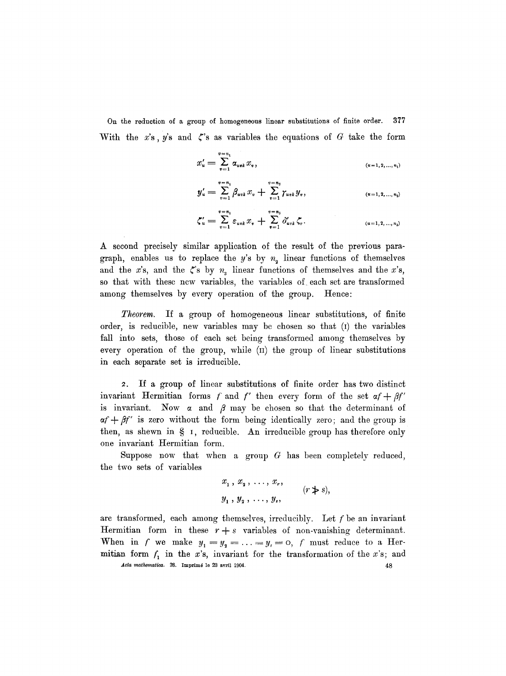On the reduction of a group of homogeneous linear substitutions of finite order. 377 With the x's, y's and  $\zeta$ 's as variables the equations of G take the form

$$
x'_{u} = \sum_{v=1}^{v=n_1} \alpha_{u\bullet k} x_v, \qquad (u=1,2,...,n_1)
$$

$$
y'_{u} = \sum_{v=1}^{v=n_1} \beta_{uvk} x_v + \sum_{v=1}^{v=n_2} \gamma_{uvk} y_v, \qquad (u=1,2,...,n_2)
$$

$$
\zeta_u' = \sum_{v=1}^{v=n_1} \varepsilon_{uvk} x_v + \sum_{v=1}^{v=n_3} \delta_{uvk}' \zeta_v.
$$
 (u=1,2,...,n<sub>3</sub>)

A second precisely similar application of the result of the previous paragraph, enables us to replace the y's by  $n<sub>2</sub>$  linear functions of themselves and the x's, and the  $\zeta$ 's by  $n<sub>s</sub>$  linear functions of themselves and the x's, so that with these new variables, the variables of each set are transformed among themselves by every operation of the group. Hence:

*Theorem.* If a group of homogeneous linear substitutions, of finite order, is reducible, new variables may be chosen so that (I) the variables fall into sets, those of each set being transformed among themselves by every operation of the group, while (n) the group of linear substitutions in each separate set is irreducible.

2. If a group of linear substitutions of finite order has two distinct invariant Hermitian forms f and f' then every form of the set  $\alpha f + \beta f'$ is invariant. Now  $\alpha$  and  $\beta$  may be chosen so that the determinant of  $af + \beta f'$  is zero without the form being identically zero; and the group is then, as shewn in  $\S$  1, reducible. An irreducible group has therefore only one invariant Hermitian form.

Suppose now that when a group  $G$  has been completely reduced, the two sets of variables

$$
x_1, x_2, \ldots, x_r,
$$
  

$$
y_1, y_2, \ldots, y_s,
$$
  

$$
(r \n\Rightarrow s),
$$

are transformed, each among themselves, irreducibly. Let f be an invariant Hermitian form in these  $r + s$  variables of non-vanishing determinant. When in f we make  $y_1=y_2=\ldots=y_s=0,$  f must reduce to a Hermitian form  $f_1$  in the x's, invariant for the transformation of the x's; and Acta mathematica. 28. Imprimé le 23 avril 1904. **48**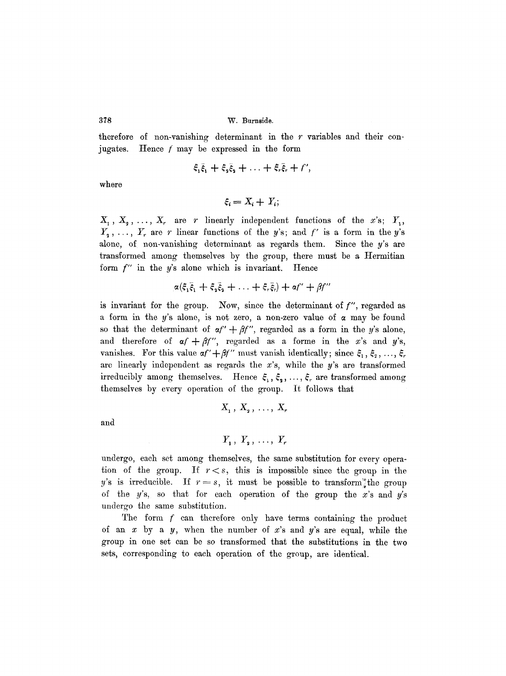therefore of non-vanishing determinant in the  $r$  variables and their conjugates. Hence f may be expressed in the form

$$
\xi_1\overline{\xi}_1+\xi_2\overline{\xi}_2+\ldots+\xi_r\overline{\xi}_r+f',
$$

where

$$
\xi_i = X_i + Y_i;
$$

 $X_1, X_2, \ldots, X_r$  are r linearly independent functions of the x's;  $Y_1$ ,  $Y_2, \ldots, Y_r$  are r linear functions of the y's; and f' is a form in the y's alone, of non-vanishing determinant as regards them. Since the y's are transformed among themselves by the group, there must be a Hermitian form  $f''$  in the y's alone which is invariant. Hence

$$
\alpha(\xi_1\overline{\xi}_1+\xi_2\overline{\xi}_2+\ldots+\xi_r\overline{\xi}_r)+\alpha f'+\beta f''
$$

is invariant for the group. Now, since the determinant of *f",* regarded as a form in the y's alone, is not zero, a non-zero value of  $\alpha$  may be found so that the determinant of  $af' + ff''$ , regarded as a form in the y's alone, and therefore of  $af + ff''$ , regarded as a forme in the x's and y's, vanishes. For this value  $af' + \beta f''$  must vanish identically; since  $\xi_1, \xi_2, ..., \xi_r$ are linearly independent as regards the  $x$ 's, while the  $y$ 's are transformed irreducibly among themselves. Hence  $\xi_1, \xi_2, ..., \xi_r$  are transformed among themselves by every operation of the group. It follows that

and

$$
X_1, X_2, \ldots, X_r
$$

 $Y_1, Y_2, \ldots, Y_r$ 

undergo, each set among themselves, the same substitution for every operation of the group. If  $r < s$ , this is impossible since the group in the y's is irreducible. If  $r=s$ , it must be possible to transform<sup>\*</sup><sub>\*</sub>the group of the  $y$ 's, so that for each operation of the group the  $x$ 's and  $y$ 's undergo the same substitution.

The form f can therefore only have terms containing the product of an  $x$  by a  $y$ , when the number of  $x$ 's and  $y$ 's are equal, while the group in one set can be so transformed that the substitutions in the two sets, corresponding to each operation of the group, are identical.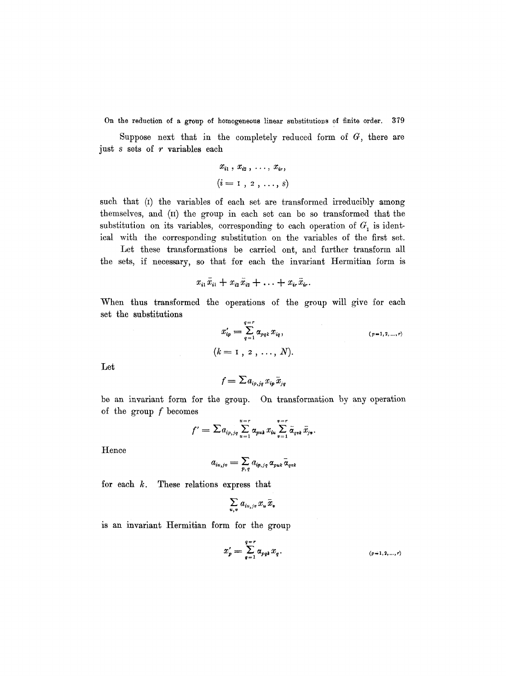Suppose next that in the completely reduced form of  $G$ , there are just s sets of r variables each

$$
x_{i_1}, x_{i_2}, \ldots, x_{i_r},
$$
  

$$
(i = 1, 2, \ldots, s)
$$

such that (I) the variables of each set are transformed irreducibly among themselves, and (II) the group in each set can be so transformed that the substitution on its variables, corresponding to each operation of  $G<sub>1</sub>$  is identical with the corresponding substitution on the variables of the first set.

Let these transformations be carried ont, and further transform all the sets, if necessary, so that for each the invariant Hermifian form is

$$
x_{i1}\overline{x}_{i1}+x_{i2}\overline{x}_{i2}+\ldots+x_{ir}\overline{x}_{ir}.
$$

When thus transformed the operations of the group will give for each set the substitutions

> $q = r$  $x_{ip} = L_{i} u_{pqk} u_{iq}$ ,  $(p=1, 2, ..., r)$  $(k=1, 2, \ldots, N)$ .

Let

$$
f = \sum a_{ip, jq} x_{ip} \bar{x}_{jq}
$$

be an invariant form for the group. On transformation by any operation of the group  $f$  becomes

$$
f'=\sum a_{ip,jq}\sum_{u=1}^{u=r}a_{puk}x_{iu}\sum_{v=1}^{v=r}\bar{\alpha}_{qvk}\bar{x}_{jv}.
$$

Hence

$$
a_{iu,jv} = \sum_{p,q} a_{ip,jq} a_{puk} \overline{a}_{qvk}
$$

for each  $k$ . These relations express that

$$
\sum_{u,v} a_{iu,jv} x_u \bar{x}_v
$$

is an invariant Hermitian form for the group

$$
x'_p = \sum_{q=1}^{q=r} \alpha_{pqk} x_q.
$$
 (p=1,2,...,r)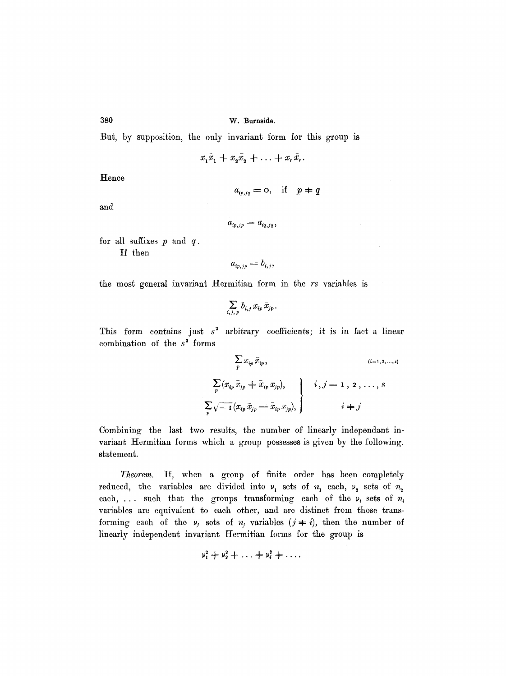But, by supposition, the only invariant form for this group is

$$
x_1\overline{x}_1+x_2\overline{x}_2+\ldots+x_r\overline{x}_r.
$$

**Hence** 

$$
a_{ip,jq} = 0, \quad \text{if} \quad p \neq q
$$

**and** 

$$
a_{ip,jp}=a_{iq,jq},
$$

for all suffixes  $p$  and  $q$ .

If then

$$
a_{ip,jp}=b_{i,j},\qquad
$$

the most general invariant Hermitian form in the *rs* variables is

$$
\sum_{i,j,\,p} b_{i,j}\,x_{ip}\,\bar{x}_{jp}.
$$

This form contains just  $s^2$  arbitrary coefficients; it is in fact a linear combination of the  $s^2$  forms

$$
\sum_{p} x_{ip} \bar{x}_{ip}, \qquad (i=1,2,...,s)
$$
\n
$$
\sum_{p} (x_{ip} \bar{x}_{jp} + \bar{x}_{ip} x_{jp}), \qquad i, j = 1, 2, ..., s
$$
\n
$$
\sum_{p} \sqrt{-1} (x_{ip} \bar{x}_{jp} - \bar{x}_{ip} x_{jp}), \qquad i \neq j
$$

Combining the last two results, the number of linearly independant invariant Hermitian forms which a group possesses is given by the following. statement.

Theorem. If, when a group of finite order has been completely reduced, the variables are divided into  $\nu_1$  sets of  $n_1$  each,  $\nu_2$  sets of  $n_2$ each, ... such that the groups transforming each of the  $\nu_i$  sets of  $n_i$ variables are equivalent to each other, and are distinct from those transforming each of the  $\nu_j$  sets of  $n_j$  variables  $(j \neq i)$ , then the number of linearly independent invariant Hermitian forms for the group is

$$
\nu_1^2+\nu_2^2+\ldots+\nu_i^2+\ldots,
$$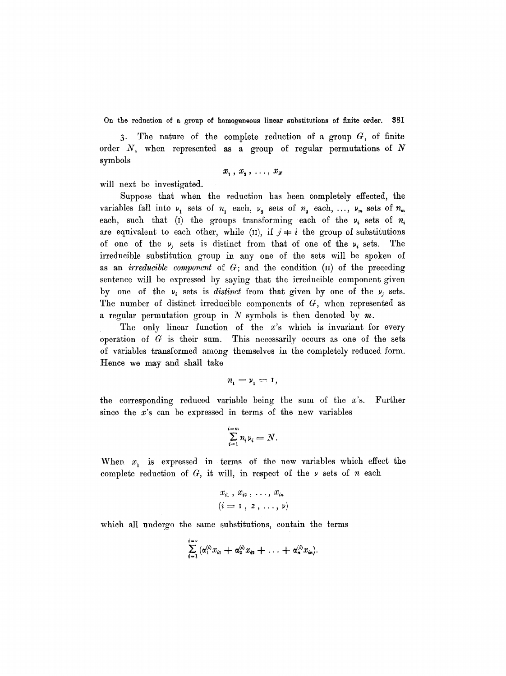3. The nature of the complete reduction of a group  $G$ , of finite order  $N$ , when represented as a group of regular permutations of  $N$ symbols

$$
x_1, x_2, \ldots, x_N
$$

will next be investigated.

Suppose that when the reduction has been completely effected, the variables fall into  $\nu_1$  sets of  $n_1$  each,  $\nu_2$  sets of  $n_3$  each, ...,  $\nu_m$  sets of  $n_m$ each, such that (I) the groups transforming each of the  $\nu_i$  sets of  $n_i$ are equivalent to each other, while (II), if  $j \neq i$  the group of substitutions of one of the  $\nu_i$  sets is distinct from that of one of the  $\nu_i$  sets. The irreducible substitution group in any one of the sets will be spoken of as an *irreducible component* of  $G$ ; and the condition (II) of the preceding sentence will be expressed by saying that the irreducible component given by one of the  $v_i$  sets is *distinct* from that given by one of the  $v_j$  sets. The number of distinct irreducible components of  $G$ , when represented as a regular permutation group in  $N$  symbols is then denoted by  $m$ .

The only linear function of the  $x$ 's which is invariant for every operation of  $G$  is their sum. This necessarily occurs as one of the sets of variables transformed among themselves in the completely reduced form. Hence we may and shall take

$$
n_{\rm i}=\nu_{\rm i}=1,
$$

the corresponding reduced variable being the sum of the  $x$ 's. Further since the x's can be expressed in terms of the new variables

$$
\sum_{i=1}^{i=m} n_i \nu_i = N.
$$

When  $x_1$  is expressed in terms of the new variables which effect the complete reduction of  $G$ , it will, in respect of the  $\nu$  sets of n each

$$
x_{i1}, x_{i2}, \ldots, x_{in}
$$

$$
(i = 1, 2, \ldots, \nu)
$$

which all undergo the same substitutions, contain the terms

$$
\sum_{i=1}^{i=\nu} (\alpha_1^{(i)} x_{i1} + \alpha_2^{(i)} x_{i2} + \ldots + \alpha_n^{(i)} x_{in}).
$$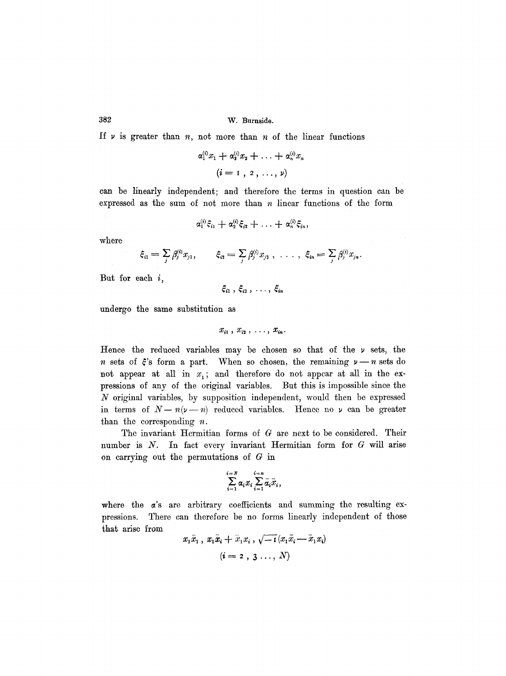If  $\nu$  is greater than *n*, not more than *n* of the linear functions

$$
\alpha_1^{(i)}x_1+\alpha_2^{(i)}x_2+\ldots+\alpha_n^{(i)}x_n
$$

$$
(i=1, 2, \ldots, \nu)
$$

can be linearly independent; and therefore the terms in question can be expressed as the sum of not more than  $n$  linear functions of the form

$$
\alpha_1^{(i)}\xi_{i1} + \alpha_2^{(i)}\xi_{i2} + \ldots + \alpha_n^{(i)}\xi_{in},
$$

 $\sim$ 

where

$$
\xi_{i1} = \sum_j \beta_j^{(i)} x_{j1}, \qquad \xi_{i2} = \sum_j \beta_j^{(i)} x_{j2}, \ \ldots \ , \ \xi_{in} = \sum_j \beta_j^{(i)} x_{jn}.
$$

But for each *i,* 

$$
\xi_{i1},\xi_{i2},\ldots,\xi_{in}
$$

undergo the same substitution as

$$
x_{i1}, x_{i2}, \ldots, x_{in}.
$$

Hence the reduced variables may be chosen so that of the  $\nu$  sets, the *n* sets of  $\xi$ 's form a part. When so chosen, the remaining  $\nu - n$  sets do not appear at all in  $x_1$ ; and therefore do not appear at all in the expressions of any of the original variables. But this is impossible since the N original variables, by supposition independent, would then be expressed in terms of  $N-n(\nu-n)$  reduced variables. Hence no  $\nu$  can be greater than the corresponding  $n$ .

The invariant Hermitian forms of  $G$  are next to be considered. Their number is  $N$ . In fact every invariant Hermitian form for  $G$  will arise on carrying out the permutations of  $G$  in

$$
\sum_{i=1}^{i=N} \alpha_i x_i \sum_{i=1}^{i=n} \overline{\alpha}_i \overline{x}_i,
$$

where the a's are arbitrary coefficients and summing the resulting expressions. There can therefore be no forms linearly independent of those that arise from

$$
x_1\overline{x}_1, x_1\overline{x}_i + \overline{x}_1x_i, \sqrt{-1}(x_1\overline{x}_i - \overline{x}_1x_i)
$$

$$
(i = 2, 3 \ldots, N)
$$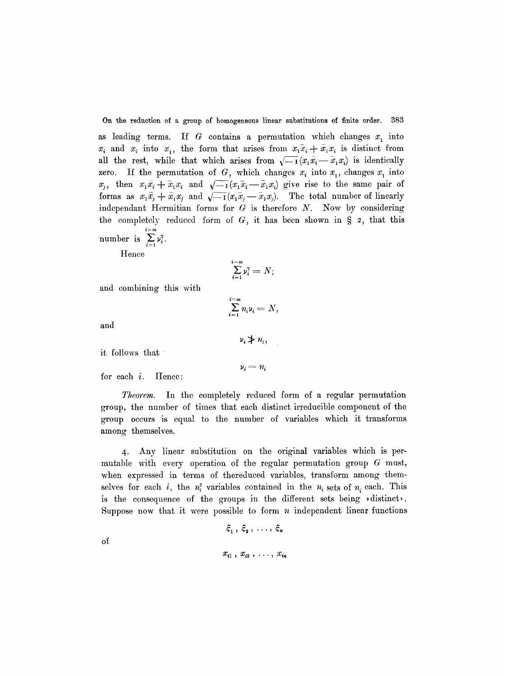as leading terms. If  $G$  contains a permutation which changes  $x<sub>1</sub>$  into  $x_i$  and  $x_i$  into  $x_1$ , the form that arises from  $x_i\overline{x}_i + \overline{x}_i x_i$  is distinct from all the rest, while that which arises from  $\sqrt{-1}(x_1\overline{x}_i-\overline{x}_1x_i)$  is identically zero. If the permutation of  $G$ , which changes  $x_i$  into  $x_1$ , changes  $x_i$  into  $x_j$ , then  $x_i\overline{x}_i + \overline{x}_i x_i$  and  $\sqrt{-1}(x_i\overline{x}_i - \overline{x}_i x_i)$  give rise to the same pair of forms as  $x_1\bar{x}_j + \bar{x}_1x_j$  and  $\sqrt{-1}(x_1\bar{x}_j - \bar{x}_1x_j)$ . The total number of linearly independant Hermitian forms for  $G$  is therefore  $N$ . Now by considering the completely reduced form of  $G$ , it has been shown in  $\S$  2, that this number is  $\sum_{i=1}^k \nu_i^2$ .

Hence

$$
\sum_{i=1}^{i=m} \nu_i^2 = N;
$$

and combining this with

$$
\sum_{i=1}^{i=m} n_i \nu_i = N,
$$

and

 $\nu_i \nightharpoonup n_i$ 

 $\nu_i = n_i$ 

it follows that

for each i. Hence:

*Theorem.* In the completely reduced form of a regular permutation group, the number of times that each distinct irreducible component of the group occurs is equal to the number of variables which it transforms among themselves.

4. Any linear substitution on the original variables which is permutable with every operation of the regular permutation group  $G$  must, when expressed in terms of thereduced variables, transform among themselves for each i, the  $n_i^2$  variables contained in the  $n_i$  sets of  $n_i$  each. This is the consequence of the groups in the different sets being  $\cdot$  distinct. Suppose now that it were possible to form  $n$  independent linear functions

$$
\xi_1, \xi_2, \ldots, \xi_n
$$

$$
x_{i1}, x_{i2}, \ldots, x_{in}
$$

of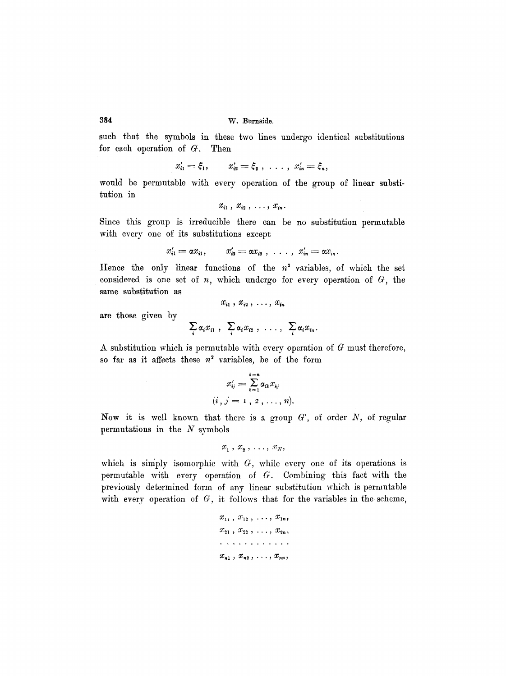such that the symbols in these two lines undergo identical substitutions for each operation of  $G$ . Then

$$
x'_{i1} = \xi_1, \qquad x'_{i2} = \xi_2, \ \ldots \ , \ x'_{i n} = \xi_n,
$$

would be permutable with every operation of the group of linear substitution in

$$
x_{i1}, x_{i2}, \ldots, x_{i n}.
$$

Since this group is irreducible there can be no substitution permutable with every one of its substitutions except

$$
x'_{i1}=\alpha x_{i1}, \qquad x'_{i2}=\alpha x_{i2}, \ldots, x'_{in}=\alpha x_{in}.
$$

Hence the only linear functions of the  $n^2$  variables, of which the set considered is one set of  $n$ , which undergo for every operation of  $G$ , the same substitution as

$$
x_{i1}, x_{i2}, \ldots, x_{in}
$$

are those given by

$$
\sum_i \alpha_i x_{i1} , \sum_i \alpha_i x_{i2} , \ldots , \sum_i \alpha_i x_{i n} .
$$

A substitution which is permutable with every operation of  $G$  must therefore, so far as it affects these  $n^2$  variables, be of the form

$$
x'_{ij} = \sum_{k=1}^{k=n} \alpha_{ik} x_{kj}
$$
  
(*i*, *j* = 1, 2, ..., *n*).

Now it is well known that there is a group  $G'$ , of order  $N$ , of regular permutations in the  $N$  symbols

$$
x_1, x_2, \ldots, x_N,
$$

which is simply isomorphic with  $G$ , while every one of its operations is permutable with every operation of  $G$ . Combining this fact with the previously determined form of any linear substitution which is permutable with every operation of  $G$ , it follows that for the variables in the scheme,

$$
x_{11}, x_{12}, \ldots, x_{1n},
$$
  
\n
$$
x_{21}, x_{22}, \ldots, x_{2n},
$$
  
\n
$$
\ldots \ldots \ldots \ldots
$$
  
\n
$$
x_{n1}, x_{n2}, \ldots, x_{nn},
$$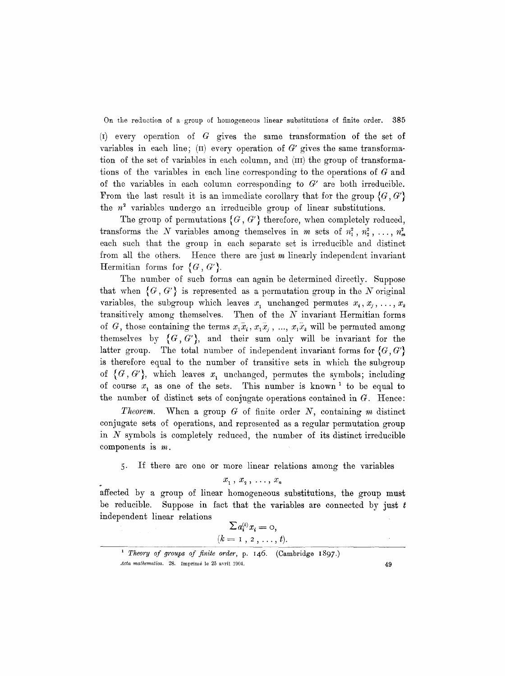$(1)$  every operation of G gives the same transformation of the set of variables in each line;  $(II)$  every operation of G' gives the same transformation of the set of variables in each column, and (III) the group of transformations of the variables in each line corresponding to the operations of G and of the variables in each column corresponding to  $G'$  are both irreducible. From the last result it is an immediate corollary that for the group  $\{G, G'\}$ the  $n^2$  variables undergo an irreducible group of linear substitutions.

The group of permutations  $\{G, G'\}$  therefore, when completely reduced, transforms the N variables among themselves in m sets of  $n_1^2$ ,  $n_2^2$ , ...,  $n_m^2$ each such that the group in each separate set is irreducible and distinct from all the others. Hence there are just  $m$  linearly independent invariant Hermitian forms for  $\{G, G'\}.$ 

The number of such forms can again be determined directly. Suppose that when  $\{G, G'\}$  is represented as a permutation group in the N original variables, the subgroup which leaves  $x_1$  unchanged permutes  $x_i, x_j, \ldots, x_k$ transitively among themselves. Then of the N invariant Hermitian forms of G, those containing the terms  $x_1\overline{x}_i, x_1\overline{x}_j, ..., x_i\overline{x}_k$  will be permuted among themselves by  $\{G, G'\}$ , and their sum only will be invariant for the latter group. The total number of independent invariant forms for  $\{G, G'\}$ is therefore equal to the number of transitive sets in which the subgroup of  $\{G, G'\}$ , which leaves  $x_1$  unchanged, permutes the symbols; including of course  $x<sub>1</sub>$  as one of the sets. This number is known <sup>1</sup> to be equal to the number of distinct sets of conjugate operations contained in  $G$ . Hence:

*Theorem.* When a group G of finite order N, containing m distinct conjugate sets of operations, and represented as a regular permutation group in  $N$  symbols is completely reduced, the number of its distinct irreducible components is m.

5. If there are one or more linear relations among the variables

$$
x_1, x_2, \ldots, x_n
$$

affected by a group of linear homogeneous substitutions, the group must be reducible. Suppose in fact that the variables are connected by just  $t$ independent linear relations

$$
\sum a_i^{(k)} x_i = 0,
$$
  
(k = 1, 2, ..., t).

<sup>&</sup>lt;sup>1</sup> Theory of groups of finite order, p. 146. (Cambridge 1897.) *Aeta mathematica.* 28. Imprimé le 25 avril 1904. **49**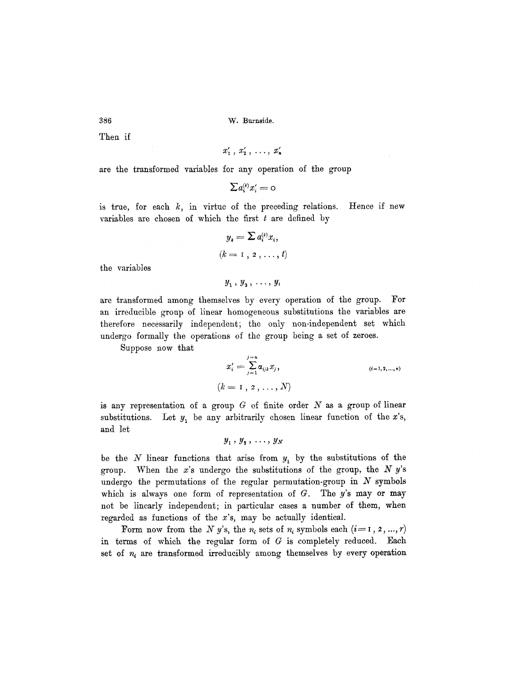Then if

$$
x'_1, x'_2, \ldots, x'_n
$$

are the transformed variables for any operation of the group

$$
\sum a_i^{(k)} x_i' = o
$$

is true, for each  $k$ , in virtue of the preceding relations. Hence if new variables are chosen of which the first  $t$  are defined by

$$
y_k = \sum a_i^{(k)} x_i,
$$
  
(k = 1, 2, ..., t)

the variables

 $y_1$ ,  $y_2$ ,  $\ldots$ ,  $y_t$ 

are transformed among themselves by every operation of the group. For an irreducible group of linear homogeneous substitutions the variables are therefore necessarily independent; the only non-independent set which undergo formally the operations of the group being a set of zeroes.

Suppose now that

$$
x'_{i} = \sum_{j=1}^{j=n} \alpha_{ijk} x_{j},
$$
  
(k = 1, 2, ..., N) (i=1,2,...,n)

is any representation of a group  $G$  of finite order  $N$  as a group of linear substitutions. Let  $y_1$  be any arbitrarily chosen linear function of the x's, and let

$$
y_1, y_2, \ldots, y_N
$$

be the N linear functions that arise from  $y_1$  by the substitutions of the group. When the x's undergo the substitutions of the group, the  $N$  y's undergo the permutations of the regular permutation-group in  $N$  symbols which is always one form of representation of  $G$ . The y's may or may not be linearly independent; in particular cases a number of them, when regarded as functions of the x's, may be actually identical.

Form now from the N y's, the  $n_i$  sets of  $n_i$  symbols each  $(i = 1, 2, ..., r)$ in terms of which the regular form of  $G$  is completely reduced. Each set of  $n_i$  are transformed irreducibly among themselves by every operation